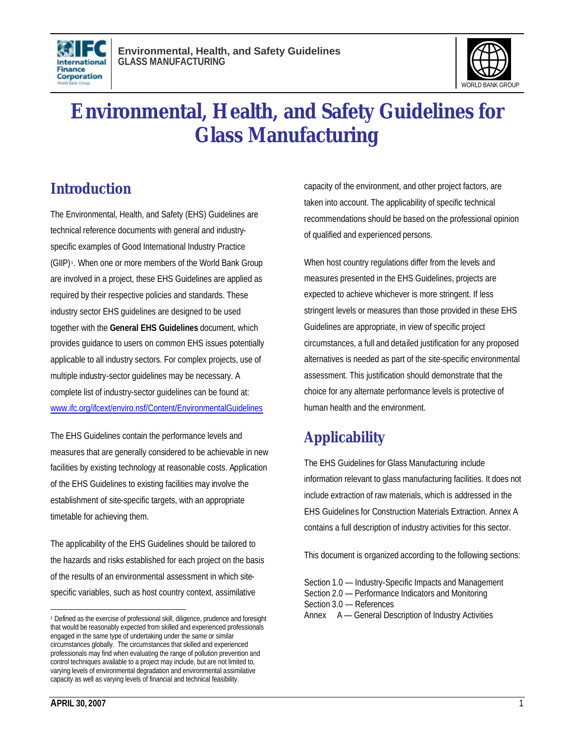



# **Environmental, Health, and Safety Guidelines for Glass Manufacturing**

# **Introduction**

The Environmental, Health, and Safety (EHS) Guidelines are technical reference documents with general and industryspecific examples of Good International Industry Practice (GIIP) <sup>1</sup> . When one or more members of the World Bank Group are involved in a project, these EHS Guidelines are applied as required by their respective policies and standards. These industry sector EHS guidelines are designed to be used together with the **General EHS Guidelines** document, which provides guidance to users on common EHS issues potentially applicable to all industry sectors. For complex projects, use of multiple industry-sector guidelines may be necessary. A complete list of industry-sector guidelines can be found at: www.ifc.org/ifcext/enviro.nsf/Content/EnvironmentalGuidelines

The EHS Guidelines contain the performance levels and measures that are generally considered to be achievable in new facilities by existing technology at reasonable costs. Application of the EHS Guidelines to existing facilities may involve the establishment of site-specific targets, with an appropriate timetable for achieving them.

The applicability of the EHS Guidelines should be tailored to the hazards and risks established for each project on the basis of the results of an environmental assessment in which sitespecific variables, such as host country context, assimilative

capacity of the environment, and other project factors, are taken into account. The applicability of specific technical recommendations should be based on the professional opinion of qualified and experienced persons.

When host country regulations differ from the levels and measures presented in the EHS Guidelines, projects are expected to achieve whichever is more stringent. If less stringent levels or measures than those provided in these EHS Guidelines are appropriate, in view of specific project circumstances, a full and detailed justification for any proposed alternatives is needed as part of the site-specific environmental assessment. This justification should demonstrate that the choice for any alternate performance levels is protective of human health and the environment.

# **Applicability**

The EHS Guidelines for Glass Manufacturing include information relevant to glass manufacturing facilities. It does not include extraction of raw materials, which is addressed in the EHS Guidelines for Construction Materials Extraction. Annex A contains a full description of industry activities for this sector.

This document is organized according to the following sections:

Section 1.0 — Industry-Specific Impacts and Management Section 2.0 — Performance Indicators and Monitoring Section 3.0 — References

Annex A — General Description of Industry Activities

 $\overline{a}$ <sup>1</sup> Defined as the exercise of professional skill, diligence, prudence and foresight that would be reasonably expected from skilled and experienced professionals engaged in the same type of undertaking under the same or similar circumstances globally. The circumstances that skilled and experienced professionals may find when evaluating the range of pollution prevention and control techniques available to a project may include, but are not limited to, varying levels of environmental degradation and environmental assimilative capacity as well as varying levels of financial and technical feasibility.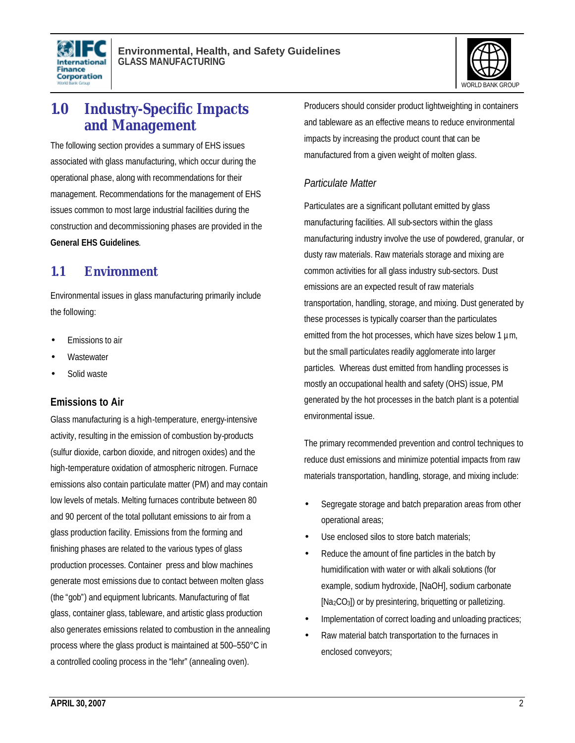



# **1.0 Industry-Specific Impacts and Management**

The following section provides a summary of EHS issues associated with glass manufacturing, which occur during the operational phase, along with recommendations for their management. Recommendations for the management of EHS issues common to most large industrial facilities during the construction and decommissioning phases are provided in the **General EHS Guidelines**.

### **1.1 Environment**

Environmental issues in glass manufacturing primarily include the following:

- Emissions to air
- **Wastewater**
- Solid waste

### **Emissions to Air**

Glass manufacturing is a high-temperature, energy-intensive activity, resulting in the emission of combustion by-products (sulfur dioxide, carbon dioxide, and nitrogen oxides) and the high-temperature oxidation of atmospheric nitrogen. Furnace emissions also contain particulate matter (PM) and may contain low levels of metals. Melting furnaces contribute between 80 and 90 percent of the total pollutant emissions to air from a glass production facility. Emissions from the forming and finishing phases are related to the various types of glass production processes. Container press and blow machines generate most emissions due to contact between molten glass (the "gob") and equipment lubricants. Manufacturing of flat glass, container glass, tableware, and artistic glass production also generates emissions related to combustion in the annealing process where the glass product is maintained at 500–550°C in a controlled cooling process in the "lehr" (annealing oven).

Producers should consider product lightweighting in containers and tableware as an effective means to reduce environmental impacts by increasing the product count that can be manufactured from a given weight of molten glass.

### *Particulate Matter*

Particulates are a significant pollutant emitted by glass manufacturing facilities. All sub-sectors within the glass manufacturing industry involve the use of powdered, granular, or dusty raw materials. Raw materials storage and mixing are common activities for all glass industry sub-sectors. Dust emissions are an expected result of raw materials transportation, handling, storage, and mixing. Dust generated by these processes is typically coarser than the particulates emitted from the hot processes, which have sizes below 1  $\mu$ m, but the small particulates readily agglomerate into larger particles. Whereas dust emitted from handling processes is mostly an occupational health and safety (OHS) issue, PM generated by the hot processes in the batch plant is a potential environmental issue.

The primary recommended prevention and control techniques to reduce dust emissions and minimize potential impacts from raw materials transportation, handling, storage, and mixing include:

- Segregate storage and batch preparation areas from other operational areas;
- Use enclosed silos to store batch materials:
- Reduce the amount of fine particles in the batch by humidification with water or with alkali solutions (for example, sodium hydroxide, [NaOH], sodium carbonate [Na<sub>2</sub>CO<sub>3</sub>]) or by presintering, briquetting or palletizing.
- Implementation of correct loading and unloading practices;
- Raw material batch transportation to the furnaces in enclosed conveyors;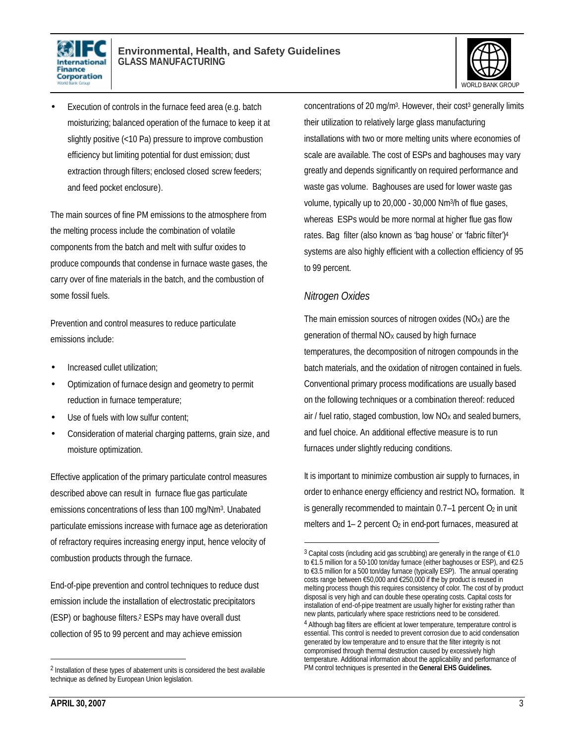



Execution of controls in the furnace feed area (e.g. batch moisturizing; balanced operation of the furnace to keep it at slightly positive (<10 Pa) pressure to improve combustion efficiency but limiting potential for dust emission; dust extraction through filters; enclosed closed screw feeders; and feed pocket enclosure).

The main sources of fine PM emissions to the atmosphere from the melting process include the combination of volatile components from the batch and melt with sulfur oxides to produce compounds that condense in furnace waste gases, the carry over of fine materials in the batch, and the combustion of some fossil fuels.

Prevention and control measures to reduce particulate emissions include:

- Increased cullet utilization;
- Optimization of furnace design and geometry to permit reduction in furnace temperature;
- Use of fuels with low sulfur content:
- Consideration of material charging patterns, grain size, and moisture optimization.

Effective application of the primary particulate control measures described above can result in furnace flue gas particulate emissions concentrations of less than 100 mg/Nm<sup>3</sup> . Unabated particulate emissions increase with furnace age as deterioration of refractory requires increasing energy input, hence velocity of combustion products through the furnace.

End-of-pipe prevention and control techniques to reduce dust emission include the installation of electrostatic precipitators (ESP) or baghouse filters.<sup>2</sup> ESPs may have overall dust collection of 95 to 99 percent and may achieve emission

concentrations of 20 mg/m<sup>3</sup> . However, their cost<sup>3</sup> generally limits their utilization to relatively large glass manufacturing installations with two or more melting units where economies of scale are available. The cost of ESPs and baghouses may vary greatly and depends significantly on required performance and waste gas volume. Baghouses are used for lower waste gas volume, typically up to 20,000 - 30,000 Nm<sup>3</sup> /h of flue gases, whereas ESPs would be more normal at higher flue gas flow rates. Bag filter (also known as 'bag house' or 'fabric filter') 4 systems are also highly efficient with a collection efficiency of 95 to 99 percent.

### *Nitrogen Oxides*

 $\overline{a}$ 

The main emission sources of nitrogen oxides  $(NO<sub>X</sub>)$  are the generation of thermal NO<sub>x</sub> caused by high furnace temperatures, the decomposition of nitrogen compounds in the batch materials, and the oxidation of nitrogen contained in fuels. Conventional primary process modifications are usually based on the following techniques or a combination thereof: reduced air / fuel ratio, staged combustion, low  $NQ_x$  and sealed burners, and fuel choice. An additional effective measure is to run furnaces under slightly reducing conditions.

It is important to minimize combustion air supply to furnaces, in order to enhance energy efficiency and restrict NO<sub>x</sub> formation. It is generally recommended to maintain  $0.7-1$  percent  $O<sub>2</sub>$  in unit melters and  $1-2$  percent  $O<sub>2</sub>$  in end-port furnaces, measured at

 $\overline{a}$ 

<sup>&</sup>lt;sup>2</sup> Installation of these types of abatement units is considered the best available technique as defined by European Union legislation.

<sup>&</sup>lt;sup>3</sup> Capital costs (including acid gas scrubbing) are generally in the range of €1.0 to €1.5 million for a 50-100 ton/day furnace (either baghouses or ESP), and €2.5 to €3.5 million for a 500 ton/day furnace (typically ESP). The annual operating costs range between €50,000 and €250,000 if the by product is reused in melting process though this requires consistency of color. The cost of by product disposal is very high and can double these operating costs. Capital costs for installation of end-of-pipe treatment are usually higher for existing rather than new plants, particularly where space restrictions need to be considered.

<sup>&</sup>lt;sup>4</sup> Although bag filters are efficient at lower temperature, temperature control is essential. This control is needed to prevent corrosion due to acid condensation generated by low temperature and to ensure that the filter integrity is not compromised through thermal destruction caused by excessively high temperature. Additional information about the applicability and performance of PM control techniques is presented in the **General EHS Guidelines.**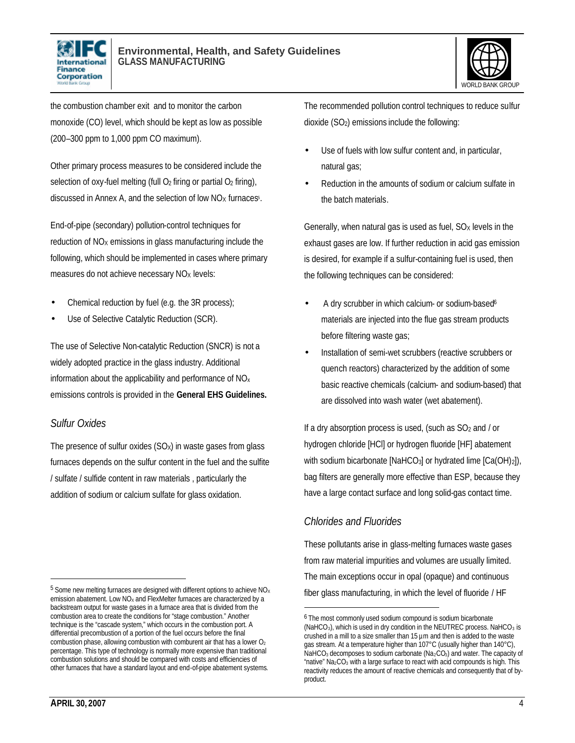



the combustion chamber exit and to monitor the carbon monoxide (CO) level, which should be kept as low as possible (200–300 ppm to 1,000 ppm CO maximum).

Other primary process measures to be considered include the selection of oxy-fuel melting (full  $O_2$  firing or partial  $O_2$  firing), discussed in Annex A, and the selection of low NO<sub>x</sub> furnaces<sup>5</sup>.

End-of-pipe (secondary) pollution-control techniques for reduction of  $NO<sub>X</sub>$  emissions in glass manufacturing include the following, which should be implemented in cases where primary measures do not achieve necessary NO<sub>x</sub> levels:

- Chemical reduction by fuel (e.g. the 3R process);
- Use of Selective Catalytic Reduction (SCR).

The use of Selective Non-catalytic Reduction (SNCR) is not a widely adopted practice in the glass industry. Additional information about the applicability and performance of  $NO<sub>x</sub>$ emissions controls is provided in the **General EHS Guidelines.** 

### *Sulfur Oxides*

The presence of sulfur oxides  $(SO<sub>x</sub>)$  in waste gases from glass furnaces depends on the sulfur content in the fuel and the sulfite / sulfate / sulfide content in raw materials , particularly the addition of sodium or calcium sulfate for glass oxidation.

The recommended pollution control techniques to reduce sulfur dioxide (SO2) emissions include the following:

- Use of fuels with low sulfur content and, in particular, natural gas;
- Reduction in the amounts of sodium or calcium sulfate in the batch materials.

Generally, when natural gas is used as fuel,  $SO<sub>x</sub>$  levels in the exhaust gases are low. If further reduction in acid gas emission is desired, for example if a sulfur-containing fuel is used, then the following techniques can be considered:

- A dry scrubber in which calcium- or sodium-based<sup>6</sup> materials are injected into the flue gas stream products before filtering waste gas;
- Installation of semi-wet scrubbers (reactive scrubbers or quench reactors) characterized by the addition of some basic reactive chemicals (calcium- and sodium-based) that are dissolved into wash water (wet abatement).

If a dry absorption process is used, (such as  $SO<sub>2</sub>$  and / or hydrogen chloride [HCl] or hydrogen fluoride [HF] abatement with sodium bicarbonate  $[NaHCO<sub>3</sub>]$  or hydrated lime  $[Ca(OH)<sub>2</sub>]$ , bag filters are generally more effective than ESP, because they have a large contact surface and long solid-gas contact time.

### *Chlorides and Fluorides*

 $\overline{a}$ 

These pollutants arise in glass-melting furnaces waste gases from raw material impurities and volumes are usually limited. The main exceptions occur in opal (opaque) and continuous fiber glass manufacturing, in which the level of fluoride / HF

 $\overline{a}$ 

 $5$  Some new melting furnaces are designed with different options to achieve NO<sub>x</sub> emission abatement. Low NO<sub>x</sub> and FlexMelter furnaces are characterized by a backstream output for waste gases in a furnace area that is divided from the combustion area to create the conditions for "stage combustion." Another technique is the "cascade system," which occurs in the combustion port. A differential precombustion of a portion of the fuel occurs before the final combustion phase, allowing combustion with comburent air that has a lower  $O<sub>2</sub>$ percentage. This type of technology is normally more expensive than traditional combustion solutions and should be compared with costs and efficiencies of other furnaces that have a standard layout and end-of-pipe abatement systems.

<sup>&</sup>lt;sup>6</sup> The most commonly used sodium compound is sodium bicarbonate (NaHCO<sub>3</sub>), which is used in dry condition in the NEUTREC process. NaHCO<sub>3</sub> is crushed in a mill to a size smaller than 15 µm and then is added to the waste gas stream. At a temperature higher than 107°C (usually higher than 140°C), NaHCO<sub>3</sub> decomposes to sodium carbonate ( $Na<sub>2</sub>CO<sub>3</sub>$ ) and water. The capacity of "native" Na2CO3 with a large surface to react with acid compounds is high. This reactivity reduces the amount of reactive chemicals and consequently that of byproduct.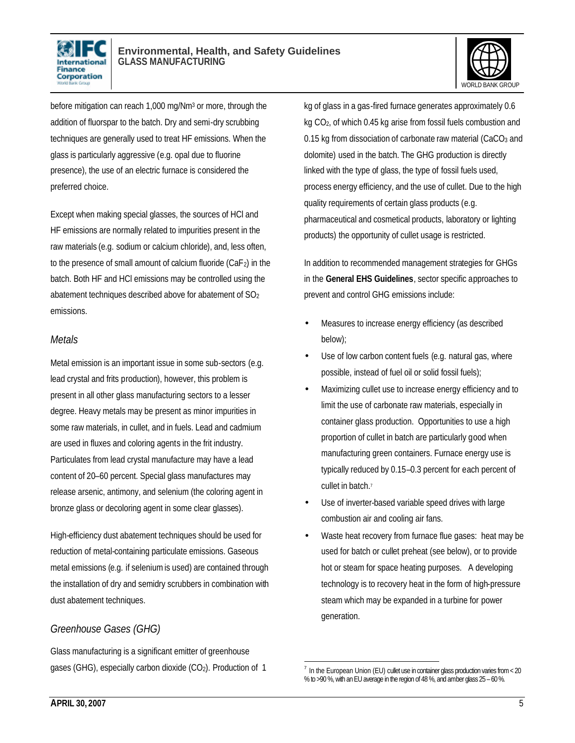



before mitigation can reach 1,000 mg/Nm<sup>3</sup> or more, through the addition of fluorspar to the batch. Dry and semi-dry scrubbing techniques are generally used to treat HF emissions. When the glass is particularly aggressive (e.g. opal due to fluorine presence), the use of an electric furnace is considered the preferred choice.

Except when making special glasses, the sources of HCl and HF emissions are normally related to impurities present in the raw materials (e.g. sodium or calcium chloride), and, less often, to the presence of small amount of calcium fluoride  $(CaF_2)$  in the batch. Both HF and HCl emissions may be controlled using the abatement techniques described above for abatement of SO<sub>2</sub> emissions.

#### *Metals*

Metal emission is an important issue in some sub-sectors (e.g. lead crystal and frits production), however, this problem is present in all other glass manufacturing sectors to a lesser degree. Heavy metals may be present as minor impurities in some raw materials, in cullet, and in fuels. Lead and cadmium are used in fluxes and coloring agents in the frit industry. Particulates from lead crystal manufacture may have a lead content of 20–60 percent. Special glass manufactures may release arsenic, antimony, and selenium (the coloring agent in bronze glass or decoloring agent in some clear glasses).

High-efficiency dust abatement techniques should be used for reduction of metal-containing particulate emissions. Gaseous metal emissions (e.g. if selenium is used) are contained through the installation of dry and semidry scrubbers in combination with dust abatement techniques.

### *Greenhouse Gases (GHG)*

Glass manufacturing is a significant emitter of greenhouse gases (GHG), especially carbon dioxide  $(CO<sub>2</sub>)$ . Production of 1 kg of glass in a gas-fired furnace generates approximately 0.6 kg CO2, of which 0.45 kg arise from fossil fuels combustion and 0.15 kg from dissociation of carbonate raw material (CaCO<sub>3</sub> and dolomite) used in the batch. The GHG production is directly linked with the type of glass, the type of fossil fuels used, process energy efficiency, and the use of cullet. Due to the high quality requirements of certain glass products (e.g. pharmaceutical and cosmetical products, laboratory or lighting products) the opportunity of cullet usage is restricted.

In addition to recommended management strategies for GHGs in the **General EHS Guidelines**, sector specific approaches to prevent and control GHG emissions include:

- Measures to increase energy efficiency (as described below);
- Use of low carbon content fuels (e.g. natural gas, where possible, instead of fuel oil or solid fossil fuels);
- Maximizing cullet use to increase energy efficiency and to limit the use of carbonate raw materials, especially in container glass production. Opportunities to use a high proportion of cullet in batch are particularly good when manufacturing green containers. Furnace energy use is typically reduced by 0.15–0.3 percent for each percent of cullet in batch.<sup>7</sup>
- Use of inverter-based variable speed drives with large combustion air and cooling air fans.
- Waste heat recovery from furnace flue gases: heat may be used for batch or cullet preheat (see below), or to provide hot or steam for space heating purposes. A developing technology is to recovery heat in the form of high-pressure steam which may be expanded in a turbine for power generation.

l  $^7$  In the European Union (EU) cullet use in container glass production varies from < 20 % to >90 %, with an EU average in the region of 48 %, and amber glass 25 – 60 %.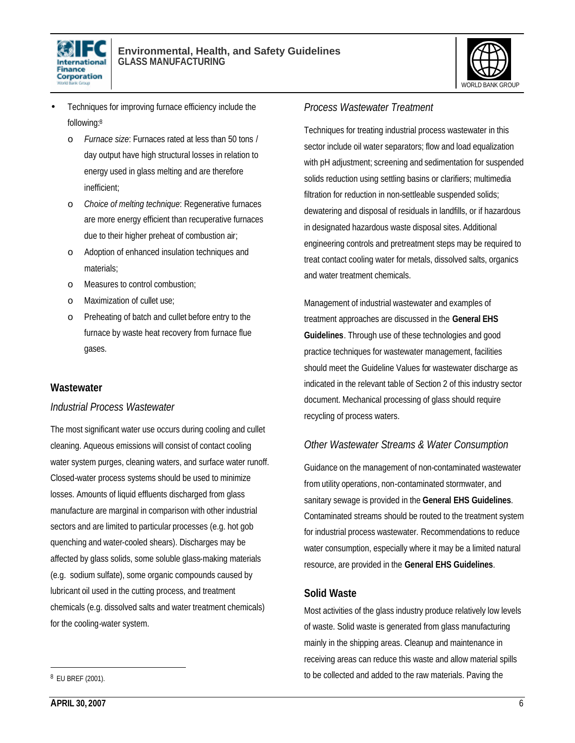



- Techniques for improving furnace efficiency include the following:<sup>8</sup>
	- o *Furnace size*: Furnaces rated at less than 50 tons / day output have high structural losses in relation to energy used in glass melting and are therefore inefficient;
	- o *Choice of melting technique*: Regenerative furnaces are more energy efficient than recuperative furnaces due to their higher preheat of combustion air;
	- o Adoption of enhanced insulation techniques and materials;
	- o Measures to control combustion;
	- o Maximization of cullet use;
	- o Preheating of batch and cullet before entry to the furnace by waste heat recovery from furnace flue gases.

#### **Wastewater**

#### *Industrial Process Wastewater*

The most significant water use occurs during cooling and cullet cleaning. Aqueous emissions will consist of contact cooling water system purges, cleaning waters, and surface water runoff. Closed-water process systems should be used to minimize losses. Amounts of liquid effluents discharged from glass manufacture are marginal in comparison with other industrial sectors and are limited to particular processes (e.g. hot gob quenching and water-cooled shears). Discharges may be affected by glass solids, some soluble glass-making materials (e.g. sodium sulfate), some organic compounds caused by lubricant oil used in the cutting process, and treatment chemicals (e.g. dissolved salts and water treatment chemicals) for the cooling-water system.

### *Process Wastewater Treatment*

Techniques for treating industrial process wastewater in this sector include oil water separators; flow and load equalization with pH adjustment; screening and sedimentation for suspended solids reduction using settling basins or clarifiers; multimedia filtration for reduction in non-settleable suspended solids; dewatering and disposal of residuals in landfills, or if hazardous in designated hazardous waste disposal sites. Additional engineering controls and pretreatment steps may be required to treat contact cooling water for metals, dissolved salts, organics and water treatment chemicals.

Management of industrial wastewater and examples of treatment approaches are discussed in the **General EHS Guidelines**. Through use of these technologies and good practice techniques for wastewater management, facilities should meet the Guideline Values for wastewater discharge as indicated in the relevant table of Section 2 of this industry sector document. Mechanical processing of glass should require recycling of process waters.

### *Other Wastewater Streams & Water Consumption*

Guidance on the management of non-contaminated wastewater from utility operations, non-contaminated stormwater, and sanitary sewage is provided in the **General EHS Guidelines**. Contaminated streams should be routed to the treatment system for industrial process wastewater. Recommendations to reduce water consumption, especially where it may be a limited natural resource, are provided in the **General EHS Guidelines**.

### **Solid Waste**

Most activities of the glass industry produce relatively low levels of waste. Solid waste is generated from glass manufacturing mainly in the shipping areas. Cleanup and maintenance in receiving areas can reduce this waste and allow material spills to be collected and added to the raw materials. Paving the

l

<sup>8</sup> EU BREF (2001).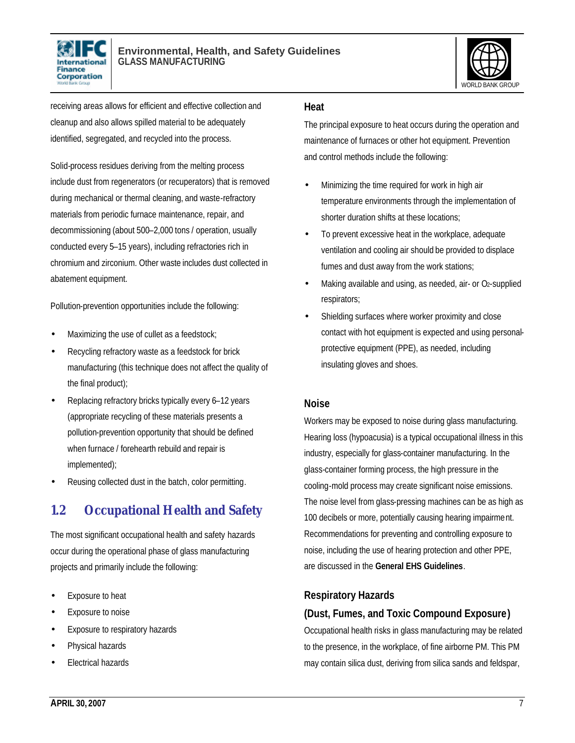



receiving areas allows for efficient and effective collection and cleanup and also allows spilled material to be adequately identified, segregated, and recycled into the process.

Solid-process residues deriving from the melting process include dust from regenerators (or recuperators) that is removed during mechanical or thermal cleaning, and waste-refractory materials from periodic furnace maintenance, repair, and decommissioning (about 500–2,000 tons / operation, usually conducted every 5–15 years), including refractories rich in chromium and zirconium. Other waste includes dust collected in abatement equipment.

Pollution-prevention opportunities include the following:

- Maximizing the use of cullet as a feedstock;
- Recycling refractory waste as a feedstock for brick manufacturing (this technique does not affect the quality of the final product);
- Replacing refractory bricks typically every 6–12 years (appropriate recycling of these materials presents a pollution-prevention opportunity that should be defined when furnace / forehearth rebuild and repair is implemented);
- Reusing collected dust in the batch, color permitting.

### **1.2 Occupational Health and Safety**

The most significant occupational health and safety hazards occur during the operational phase of glass manufacturing projects and primarily include the following:

- Exposure to heat
- Exposure to noise
- Exposure to respiratory hazards
- Physical hazards
- Electrical hazards

#### **Heat**

The principal exposure to heat occurs during the operation and maintenance of furnaces or other hot equipment. Prevention and control methods include the following:

- Minimizing the time required for work in high air temperature environments through the implementation of shorter duration shifts at these locations;
- To prevent excessive heat in the workplace, adequate ventilation and cooling air should be provided to displace fumes and dust away from the work stations;
- Making available and using, as needed, air- or  $O<sub>2</sub>$ -supplied respirators;
- Shielding surfaces where worker proximity and close contact with hot equipment is expected and using personalprotective equipment (PPE), as needed, including insulating gloves and shoes.

### **Noise**

Workers may be exposed to noise during glass manufacturing. Hearing loss (hypoacusia) is a typical occupational illness in this industry, especially for glass-container manufacturing. In the glass-container forming process, the high pressure in the cooling-mold process may create significant noise emissions. The noise level from glass-pressing machines can be as high as 100 decibels or more, potentially causing hearing impairment. Recommendations for preventing and controlling exposure to noise, including the use of hearing protection and other PPE, are discussed in the **General EHS Guidelines**.

#### **Respiratory Hazards**

### **(Dust, Fumes, and Toxic Compound Exposure)**

Occupational health risks in glass manufacturing may be related to the presence, in the workplace, of fine airborne PM. This PM may contain silica dust, deriving from silica sands and feldspar,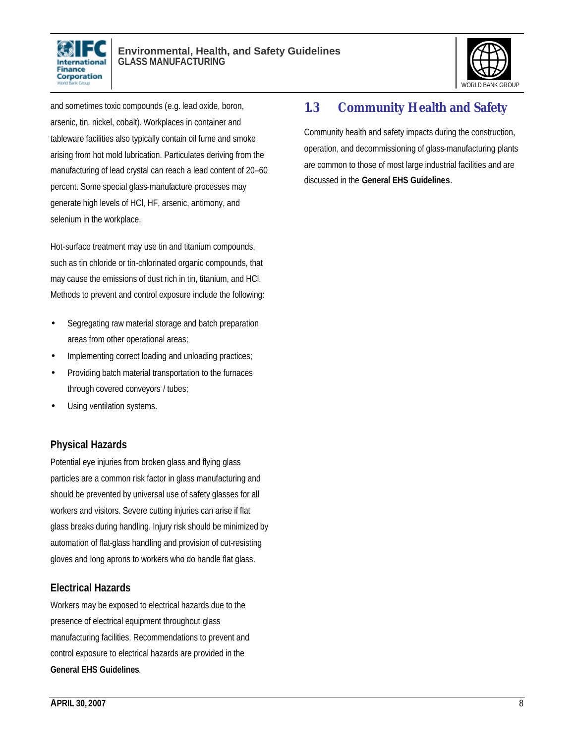



and sometimes toxic compounds (e.g. lead oxide, boron, arsenic, tin, nickel, cobalt). Workplaces in container and tableware facilities also typically contain oil fume and smoke arising from hot mold lubrication. Particulates deriving from the manufacturing of lead crystal can reach a lead content of 20–60 percent. Some special glass-manufacture processes may generate high levels of HCl, HF, arsenic, antimony, and selenium in the workplace.

Hot-surface treatment may use tin and titanium compounds, such as tin chloride or tin-chlorinated organic compounds, that may cause the emissions of dust rich in tin, titanium, and HCl. Methods to prevent and control exposure include the following:

- Segregating raw material storage and batch preparation areas from other operational areas;
- Implementing correct loading and unloading practices;
- Providing batch material transportation to the furnaces through covered conveyors / tubes;
- Using ventilation systems.

### **Physical Hazards**

Potential eye injuries from broken glass and flying glass particles are a common risk factor in glass manufacturing and should be prevented by universal use of safety glasses for all workers and visitors. Severe cutting injuries can arise if flat glass breaks during handling. Injury risk should be minimized by automation of flat-glass handling and provision of cut-resisting gloves and long aprons to workers who do handle flat glass.

### **Electrical Hazards**

Workers may be exposed to electrical hazards due to the presence of electrical equipment throughout glass manufacturing facilities. Recommendations to prevent and control exposure to electrical hazards are provided in the **General EHS Guidelines**.

## **1.3 Community Health and Safety**

Community health and safety impacts during the construction, operation, and decommissioning of glass-manufacturing plants are common to those of most large industrial facilities and are discussed in the **General EHS Guidelines**.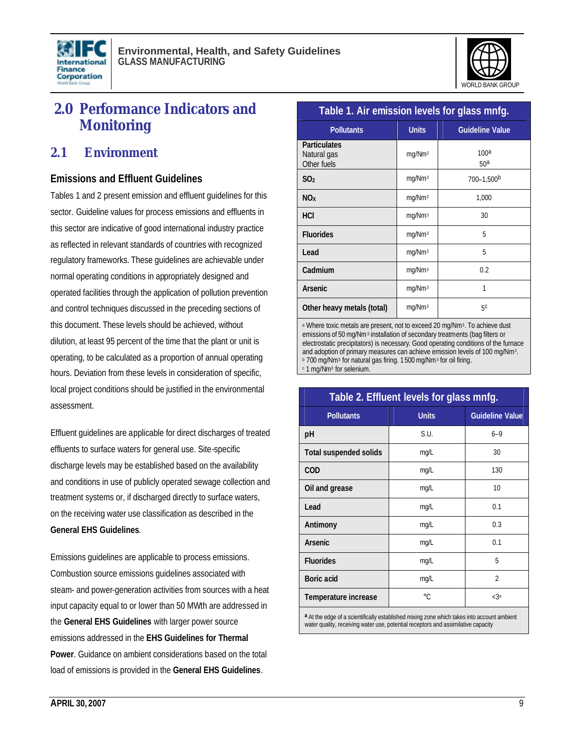



# **2.0 Performance Indicators and Monitoring**

### **2.1 Environment**

### **Emissions and Effluent Guidelines**

Tables 1 and 2 present emission and effluent guidelines for this sector. Guideline values for process emissions and effluents in this sector are indicative of good international industry practice as reflected in relevant standards of countries with recognized regulatory frameworks. These guidelines are achievable under normal operating conditions in appropriately designed and operated facilities through the application of pollution prevention and control techniques discussed in the preceding sections of this document. These levels should be achieved, without dilution, at least 95 percent of the time that the plant or unit is operating, to be calculated as a proportion of annual operating hours. Deviation from these levels in consideration of specific, local project conditions should be justified in the environmental assessment.

Effluent guidelines are applicable for direct discharges of treated effluents to surface waters for general use. Site-specific discharge levels may be established based on the availability and conditions in use of publicly operated sewage collection and treatment systems or, if discharged directly to surface waters, on the receiving water use classification as described in the **General EHS Guidelines**.

Emissions guidelines are applicable to process emissions. Combustion source emissions guidelines associated with steam- and power-generation activities from sources with a heat input capacity equal to or lower than 50 MWth are addressed in the **General EHS Guidelines** with larger power source emissions addressed in the **EHS Guidelines for Thermal Power**. Guidance on ambient considerations based on the total load of emissions is provided in the **General EHS Guidelines**.

| <u>a mara manazarta</u>                           |                    |                                     |  |  |  |
|---------------------------------------------------|--------------------|-------------------------------------|--|--|--|
| <b>Pollutants</b>                                 | <b>Units</b>       | <b>Guideline Value</b>              |  |  |  |
| <b>Particulates</b><br>Natural gas<br>Other fuels | mg/Nm <sup>3</sup> | 100 <sup>a</sup><br>50 <sup>a</sup> |  |  |  |
| SO <sub>2</sub>                                   | mg/Nm <sup>3</sup> | 700-1,500 <sup>b</sup>              |  |  |  |
| <b>NO<sub>x</sub></b>                             | mg/Nm <sup>3</sup> | 1,000                               |  |  |  |
| <b>HCI</b>                                        | mg/Nm <sup>3</sup> | 30                                  |  |  |  |
| <b>Fluorides</b>                                  | mg/Nm <sup>3</sup> | 5                                   |  |  |  |
| Lead                                              | mg/Nm <sup>3</sup> | 5                                   |  |  |  |
| Cadmium                                           | mg/Nm <sup>3</sup> | 0.2                                 |  |  |  |
| Arsenic                                           | mg/Nm <sup>3</sup> | 1                                   |  |  |  |
| Other heavy metals (total)                        | mg/Nm <sup>3</sup> | 5 <sup>c</sup>                      |  |  |  |

**Table 1. Air emission levels for glass mnfg.**

<sup>a</sup> Where toxic metals are present, not to exceed 20 mg/Nm<sup>3</sup>. To achieve dust emissions of 50 mg/Nm<sup>3</sup> installation of secondary treatments (bag filters or electrostatic precipitators) is necessary. Good operating conditions of the furnace and adoption of primary measures can achieve emission levels of 100 mg/Nm<sup>3</sup>. **b** 700 mg/Nm<sup>3</sup> for natural gas firing. 1500 mg/Nm<sup>3</sup> for oil firing.

c 1 mg/Nm<sup>3</sup> for selenium.

| Table 2. Effluent levels for glass mnfg. |              |                        |  |  |  |
|------------------------------------------|--------------|------------------------|--|--|--|
| <b>Pollutants</b>                        | <b>Units</b> | <b>Guideline Value</b> |  |  |  |
| pH                                       | S.U.         | $6 - 9$                |  |  |  |
| <b>Total suspended solids</b>            | mq/L         | 30                     |  |  |  |
| COD                                      | mg/L         | 130                    |  |  |  |
| Oil and grease                           | mq/L         | 10                     |  |  |  |
| Lead                                     | mg/L         | 0.1                    |  |  |  |
| Antimony                                 | mq/L         | 0.3                    |  |  |  |
| <b>Arsenic</b>                           | mg/L         | 0.1                    |  |  |  |
| <b>Fluorides</b>                         | mg/L         | 5                      |  |  |  |
| Boric acid                               | mq/L         | $\overline{2}$         |  |  |  |
| Temperature increase                     | $^{\circ}C$  | $<$ 3a                 |  |  |  |

**a** At the edge of a scientifically established mixing zone which takes into account ambient water quality, receiving water use, potential receptors and assimilative capacity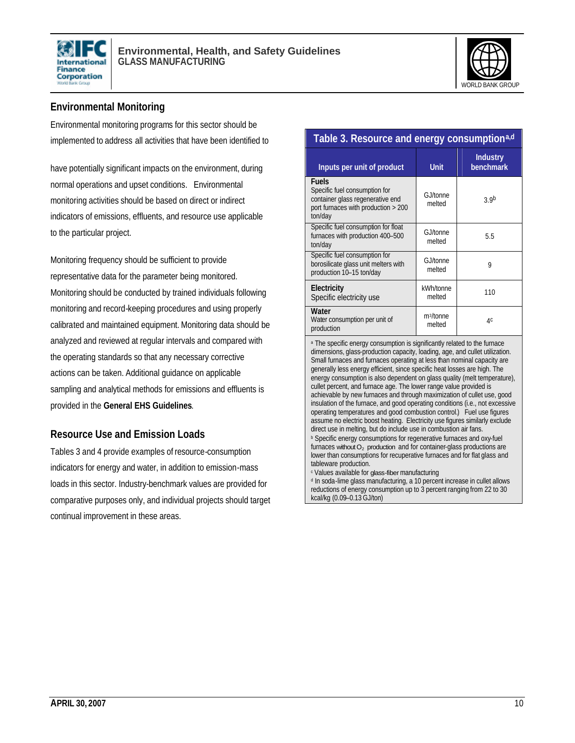



### **Environmental Monitoring**

Environmental monitoring programs for this sector should be implemented to address all activities that have been identified to

have potentially significant impacts on the environment, during normal operations and upset conditions. Environmental monitoring activities should be based on direct or indirect indicators of emissions, effluents, and resource use applicable to the particular project.

Monitoring frequency should be sufficient to provide representative data for the parameter being monitored. Monitoring should be conducted by trained individuals following monitoring and record-keeping procedures and using properly calibrated and maintained equipment. Monitoring data should be analyzed and reviewed at regular intervals and compared with the operating standards so that any necessary corrective actions can be taken. Additional guidance on applicable sampling and analytical methods for emissions and effluents is provided in the **General EHS Guidelines**.

### **Resource Use and Emission Loads**

Tables 3 and 4 provide examples of resource-consumption indicators for energy and water, in addition to emission-mass loads in this sector. Industry-benchmark values are provided for comparative purposes only, and individual projects should target continual improvement in these areas.

#### **Table 3. Resource and energy consumptiona,d**

| Inputs per unit of product                                                                                                          | Unit                            | <b>Industry</b><br>benchmark |
|-------------------------------------------------------------------------------------------------------------------------------------|---------------------------------|------------------------------|
| <b>Fuels</b><br>Specific fuel consumption for<br>container glass regenerative end<br>port furnaces with production > 200<br>ton/day | G.J/tonne<br>melted             | $3$ $9b$                     |
| Specific fuel consumption for float<br>furnaces with production 400-500<br>ton/day                                                  | G.J/tonne<br>melted             | 5.5                          |
| Specific fuel consumption for<br>borosilicate glass unit melters with<br>production 10-15 ton/day                                   | G.J/tonne<br>melted             | 9                            |
| Electricity<br>Specific electricity use                                                                                             | kWh/tonne<br>melted             | 110                          |
| Water<br>Water consumption per unit of<br>production                                                                                | m <sup>3</sup> /tonne<br>melted | 4C                           |

<sup>a</sup> The specific energy consumption is significantly related to the furnace dimensions, glass-production capacity, loading, age, and cullet utilization. Small furnaces and furnaces operating at less than nominal capacity are generally less energy efficient, since specific heat losses are high. The energy consumption is also dependent on glass quality (melt temperature), cullet percent, and furnace age. The lower range value provided is achievable by new furnaces and through maximization of cullet use, good insulation of the furnace, and good operating conditions (i.e., not excessive operating temperatures and good combustion control.) Fuel use figures assume no electric boost heating. Electricity use figures similarly exclude direct use in melting, but do include use in combustion air fans.

**b** Specific energy consumptions for regenerative furnaces and oxy-fuel furnaces without  $O<sub>2</sub>$  production and for container-glass productions are lower than consumptions for recuperative furnaces and for flat glass and tableware production.

**Values available for glass-fiber manufacturing** 

<sup>d</sup> In soda-lime glass manufacturing, a 10 percent increase in cullet allows reductions of energy consumption up to 3 percent ranging from 22 to 30 kcal/kg (0.09–0.13 GJ/ton)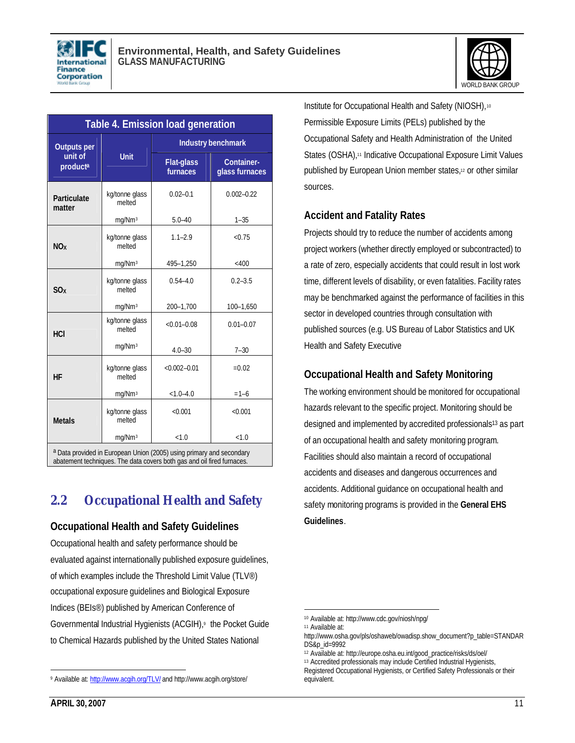



| Table 4. Emission load generation                                    |                          |                               |                              |  |  |
|----------------------------------------------------------------------|--------------------------|-------------------------------|------------------------------|--|--|
| <b>Outputs per</b><br>unit of<br>product <sup>a</sup>                |                          | <b>Industry benchmark</b>     |                              |  |  |
|                                                                      | <b>Unit</b>              | <b>Flat-glass</b><br>furnaces | Container-<br>glass furnaces |  |  |
| Particulate<br>matter                                                | kg/tonne glass<br>melted | $0.02 - 0.1$                  | $0.002 - 0.22$               |  |  |
|                                                                      | mg/Nm <sup>3</sup>       | $5.0 - 40$                    | $1 - 35$                     |  |  |
| <b>NO</b> <sub>x</sub>                                               | kg/tonne glass<br>melted | $1.1 - 2.9$                   | < 0.75                       |  |  |
|                                                                      | mg/Nm <sup>3</sup>       | 495-1,250                     | $<$ 400                      |  |  |
| SO <sub>x</sub>                                                      | kg/tonne glass<br>melted | $0.54 - 4.0$                  | $0.2 - 3.5$                  |  |  |
|                                                                      | mg/Nm <sup>3</sup>       | 200-1,700                     | 100-1,650                    |  |  |
| <b>HCI</b>                                                           | kg/tonne glass<br>melted | $< 0.01 - 0.08$               | $0.01 - 0.07$                |  |  |
|                                                                      | mg/Nm <sup>3</sup>       | $4.0 - 30$                    | $7 - 30$                     |  |  |
| <b>HF</b>                                                            | kg/tonne glass<br>melted | $< 0.002 - 0.01$              | $=0.02$                      |  |  |
|                                                                      | mg/Nm <sup>3</sup>       | $< 1.0 - 4.0$                 | $= 1 - 6$                    |  |  |
| <b>Metals</b>                                                        | kg/tonne glass<br>melted | < 0.001                       | < 0.001                      |  |  |
|                                                                      | mg/Nm <sup>3</sup>       | < 1.0                         | <1.0                         |  |  |
| a Data provided in European Union (2005) using primary and secondary |                          |                               |                              |  |  |

abatement techniques. The data covers both gas and oil fired furnaces.

# **2.2 Occupational Health and Safety**

### **Occupational Health and Safety Guidelines**

Occupational health and safety performance should be evaluated against internationally published exposure guidelines, of which examples include the Threshold Limit Value (TLV®) occupational exposure guidelines and Biological Exposure Indices (BEIs®) published by American Conference of Governmental Industrial Hygienists (ACGIH),<sup>9</sup> the Pocket Guide to Chemical Hazards published by the United States National

Institute for Occupational Health and Safety (NIOSH),<sup>10</sup> Permissible Exposure Limits (PELs) published by the Occupational Safety and Health Administration of the United States (OSHA),<sup>11</sup> Indicative Occupational Exposure Limit Values published by European Union member states,<sup>12</sup> or other similar sources.

### **Accident and Fatality Rates**

Projects should try to reduce the number of accidents among project workers (whether directly employed or subcontracted) to a rate of zero, especially accidents that could result in lost work time, different levels of disability, or even fatalities. Facility rates may be benchmarked against the performance of facilities in this sector in developed countries through consultation with published sources (e.g. US Bureau of Labor Statistics and UK Health and Safety Executive

### **Occupational Health and Safety Monitoring**

The working environment should be monitored for occupational hazards relevant to the specific project. Monitoring should be designed and implemented by accredited professionals<sup>13</sup> as part of an occupational health and safety monitoring program. Facilities should also maintain a record of occupational accidents and diseases and dangerous occurrences and accidents. Additional guidance on occupational health and safety monitoring programs is provided in the **General EHS Guidelines**.

 $\overline{a}$ <sup>9</sup> Available at: http://www.acgih.org/TLV/ and http://www.acgih.org/store/

 $\overline{a}$ <sup>10</sup> Available at: http://www.cdc.gov/niosh/npg/

<sup>11</sup> Available at:

http://www.osha.gov/pls/oshaweb/owadisp.show\_document?p\_table=STANDAR DS&p\_id=9992

<sup>12</sup> Available at: http://europe.osha.eu.int/good\_practice/risks/ds/oel/

<sup>13</sup> Accredited professionals may include Certified Industrial Hygienists, Registered Occupational Hygienists, or Certified Safety Professionals or their equivalent.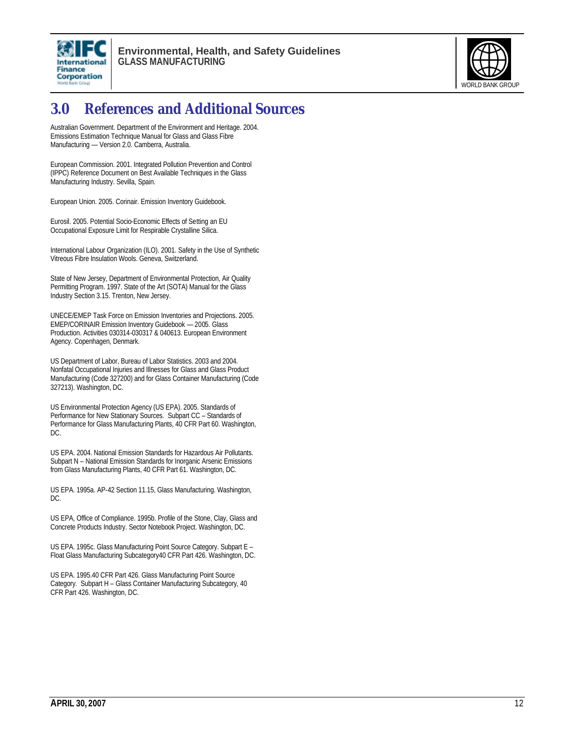



# **3.0 References and Additional Sources**

Australian Government. Department of the Environment and Heritage. 2004. Emissions Estimation Technique Manual for Glass and Glass Fibre Manufacturing — Version 2.0. Camberra, Australia.

European Commission. 2001. Integrated Pollution Prevention and Control (IPPC) Reference Document on Best Available Techniques in the Glass Manufacturing Industry. Sevilla, Spain.

European Union. 2005. Corinair. Emission Inventory Guidebook.

Eurosil. 2005. Potential Socio-Economic Effects of Setting an EU Occupational Exposure Limit for Respirable Crystalline Silica.

International Labour Organization (ILO). 2001. Safety in the Use of Synthetic Vitreous Fibre Insulation Wools. Geneva, Switzerland.

State of New Jersey, Department of Environmental Protection, Air Quality Permitting Program. 1997. State of the Art (SOTA) Manual for the Glass Industry Section 3.15. Trenton, New Jersey.

UNECE/EMEP Task Force on Emission Inventories and Projections. 2005. EMEP/CORINAIR Emission Inventory Guidebook — 2005. Glass Production. Activities 030314-030317 & 040613. European Environment Agency. Copenhagen, Denmark.

US Department of Labor, Bureau of Labor Statistics. 2003 and 2004. Nonfatal Occupational Injuries and Illnesses for Glass and Glass Product Manufacturing (Code 327200) and for Glass Container Manufacturing (Code 327213). Washington, DC.

US Environmental Protection Agency (US EPA). 2005. Standards of Performance for New Stationary Sources. Subpart CC – Standards of Performance for Glass Manufacturing Plants, 40 CFR Part 60. Washington, DC.

US EPA. 2004. National Emission Standards for Hazardous Air Pollutants. Subpart N – National Emission Standards for Inorganic Arsenic Emissions from Glass Manufacturing Plants, 40 CFR Part 61. Washington, DC.

US EPA. 1995a. AP-42 Section 11.15, Glass Manufacturing. Washington, DC.

US EPA, Office of Compliance. 1995b. Profile of the Stone, Clay, Glass and Concrete Products Industry. Sector Notebook Project. Washington, DC.

US EPA. 1995c. Glass Manufacturing Point Source Category. Subpart E – Float Glass Manufacturing Subcategory40 CFR Part 426. Washington, DC.

US EPA. 1995.40 CFR Part 426. Glass Manufacturing Point Source Category. Subpart H – Glass Container Manufacturing Subcategory, 40 CFR Part 426. Washington, DC.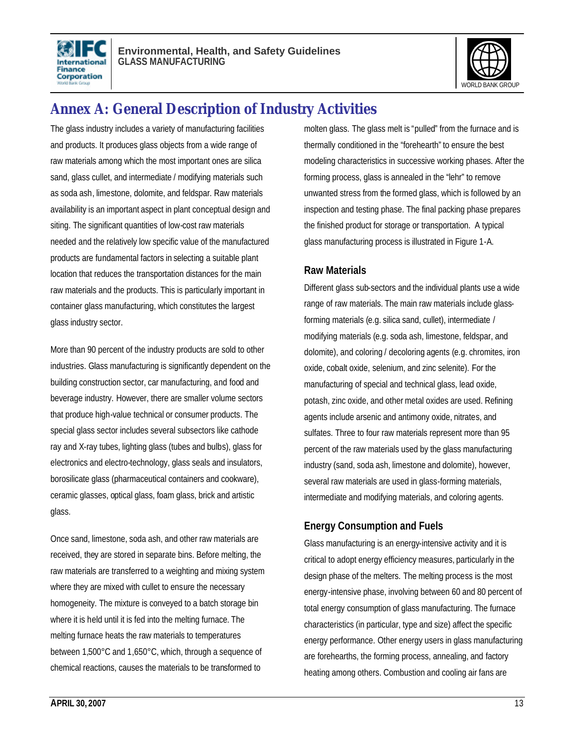



# **Annex A: General Description of Industry Activities**

The glass industry includes a variety of manufacturing facilities and products. It produces glass objects from a wide range of raw materials among which the most important ones are silica sand, glass cullet, and intermediate / modifying materials such as soda ash, limestone, dolomite, and feldspar. Raw materials availability is an important aspect in plant conceptual design and siting. The significant quantities of low-cost raw materials needed and the relatively low specific value of the manufactured products are fundamental factors in selecting a suitable plant location that reduces the transportation distances for the main raw materials and the products. This is particularly important in container glass manufacturing, which constitutes the largest glass industry sector.

More than 90 percent of the industry products are sold to other industries. Glass manufacturing is significantly dependent on the building construction sector, car manufacturing, and food and beverage industry. However, there are smaller volume sectors that produce high-value technical or consumer products. The special glass sector includes several subsectors like cathode ray and X-ray tubes, lighting glass (tubes and bulbs), glass for electronics and electro-technology, glass seals and insulators, borosilicate glass (pharmaceutical containers and cookware), ceramic glasses, optical glass, foam glass, brick and artistic glass.

Once sand, limestone, soda ash, and other raw materials are received, they are stored in separate bins. Before melting, the raw materials are transferred to a weighting and mixing system where they are mixed with cullet to ensure the necessary homogeneity. The mixture is conveyed to a batch storage bin where it is held until it is fed into the melting furnace. The melting furnace heats the raw materials to temperatures between 1,500°C and 1,650°C, which, through a sequence of chemical reactions, causes the materials to be transformed to

molten glass. The glass melt is "pulled" from the furnace and is thermally conditioned in the "forehearth" to ensure the best modeling characteristics in successive working phases. After the forming process, glass is annealed in the "lehr" to remove unwanted stress from the formed glass, which is followed by an inspection and testing phase. The final packing phase prepares the finished product for storage or transportation. A typical glass manufacturing process is illustrated in Figure 1-A.

### **Raw Materials**

Different glass sub-sectors and the individual plants use a wide range of raw materials. The main raw materials include glassforming materials (e.g. silica sand, cullet), intermediate / modifying materials (e.g. soda ash, limestone, feldspar, and dolomite), and coloring / decoloring agents (e.g. chromites, iron oxide, cobalt oxide, selenium, and zinc selenite). For the manufacturing of special and technical glass, lead oxide, potash, zinc oxide, and other metal oxides are used. Refining agents include arsenic and antimony oxide, nitrates, and sulfates. Three to four raw materials represent more than 95 percent of the raw materials used by the glass manufacturing industry (sand, soda ash, limestone and dolomite), however, several raw materials are used in glass-forming materials, intermediate and modifying materials, and coloring agents.

### **Energy Consumption and Fuels**

Glass manufacturing is an energy-intensive activity and it is critical to adopt energy efficiency measures, particularly in the design phase of the melters. The melting process is the most energy-intensive phase, involving between 60 and 80 percent of total energy consumption of glass manufacturing. The furnace characteristics (in particular, type and size) affect the specific energy performance. Other energy users in glass manufacturing are forehearths, the forming process, annealing, and factory heating among others. Combustion and cooling air fans are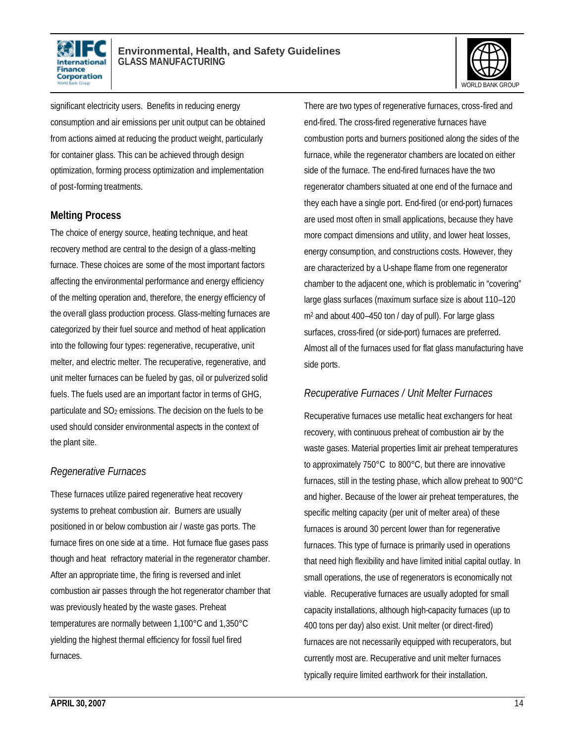



significant electricity users. Benefits in reducing energy consumption and air emissions per unit output can be obtained from actions aimed at reducing the product weight, particularly for container glass. This can be achieved through design optimization, forming process optimization and implementation of post-forming treatments.

### **Melting Process**

The choice of energy source, heating technique, and heat recovery method are central to the design of a glass-melting furnace. These choices are some of the most important factors affecting the environmental performance and energy efficiency of the melting operation and, therefore, the energy efficiency of the overall glass production process. Glass-melting furnaces are categorized by their fuel source and method of heat application into the following four types: regenerative, recuperative, unit melter, and electric melter. The recuperative, regenerative, and unit melter furnaces can be fueled by gas, oil or pulverized solid fuels. The fuels used are an important factor in terms of GHG, particulate and  $SO<sub>2</sub>$  emissions. The decision on the fuels to be used should consider environmental aspects in the context of the plant site.

### *Regenerative Furnaces*

These furnaces utilize paired regenerative heat recovery systems to preheat combustion air. Burners are usually positioned in or below combustion air / waste gas ports. The furnace fires on one side at a time. Hot furnace flue gases pass though and heat refractory material in the regenerator chamber. After an appropriate time, the firing is reversed and inlet combustion air passes through the hot regenerator chamber that was previously heated by the waste gases. Preheat temperatures are normally between 1,100°C and 1,350°C yielding the highest thermal efficiency for fossil fuel fired furnaces.

There are two types of regenerative furnaces, cross-fired and end-fired. The cross-fired regenerative furnaces have combustion ports and burners positioned along the sides of the furnace, while the regenerator chambers are located on either side of the furnace. The end-fired furnaces have the two regenerator chambers situated at one end of the furnace and they each have a single port. End-fired (or end-port) furnaces are used most often in small applications, because they have more compact dimensions and utility, and lower heat losses, energy consumption, and constructions costs. However, they are characterized by a U-shape flame from one regenerator chamber to the adjacent one, which is problematic in "covering" large glass surfaces (maximum surface size is about 110–120 m2 and about 400–450 ton / day of pull). For large glass surfaces, cross-fired (or side-port) furnaces are preferred. Almost all of the furnaces used for flat glass manufacturing have side ports.

### *Recuperative Furnaces / Unit Melter Furnaces*

Recuperative furnaces use metallic heat exchangers for heat recovery, with continuous preheat of combustion air by the waste gases. Material properties limit air preheat temperatures to approximately 750°C to 800°C, but there are innovative furnaces, still in the testing phase, which allow preheat to 900°C and higher. Because of the lower air preheat temperatures, the specific melting capacity (per unit of melter area) of these furnaces is around 30 percent lower than for regenerative furnaces. This type of furnace is primarily used in operations that need high flexibility and have limited initial capital outlay. In small operations, the use of regenerators is economically not viable. Recuperative furnaces are usually adopted for small capacity installations, although high-capacity furnaces (up to 400 tons per day) also exist. Unit melter (or direct-fired) furnaces are not necessarily equipped with recuperators, but currently most are. Recuperative and unit melter furnaces typically require limited earthwork for their installation.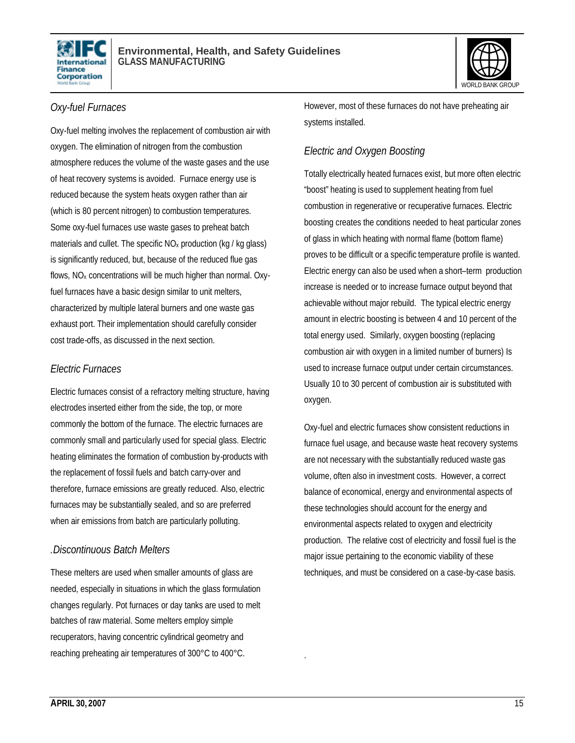



### *Oxy-fuel Furnaces*

Oxy-fuel melting involves the replacement of combustion air with oxygen. The elimination of nitrogen from the combustion atmosphere reduces the volume of the waste gases and the use of heat recovery systems is avoided. Furnace energy use is reduced because the system heats oxygen rather than air (which is 80 percent nitrogen) to combustion temperatures. Some oxy-fuel furnaces use waste gases to preheat batch materials and cullet. The specific  $NO<sub>x</sub>$  production (kg / kg glass) is significantly reduced, but, because of the reduced flue gas flows,  $NO<sub>x</sub>$  concentrations will be much higher than normal. Oxyfuel furnaces have a basic design similar to unit melters, characterized by multiple lateral burners and one waste gas exhaust port. Their implementation should carefully consider cost trade-offs, as discussed in the next section.

### *Electric Furnaces*

Electric furnaces consist of a refractory melting structure, having electrodes inserted either from the side, the top, or more commonly the bottom of the furnace. The electric furnaces are commonly small and particularly used for special glass. Electric heating eliminates the formation of combustion by-products with the replacement of fossil fuels and batch carry-over and therefore, furnace emissions are greatly reduced. Also, electric furnaces may be substantially sealed, and so are preferred when air emissions from batch are particularly polluting.

### *.Discontinuous Batch Melters*

These melters are used when smaller amounts of glass are needed, especially in situations in which the glass formulation changes regularly. Pot furnaces or day tanks are used to melt batches of raw material. Some melters employ simple recuperators, having concentric cylindrical geometry and reaching preheating air temperatures of 300°C to 400°C.

However, most of these furnaces do not have preheating air systems installed.

### *Electric and Oxygen Boosting*

Totally electrically heated furnaces exist, but more often electric "boost" heating is used to supplement heating from fuel combustion in regenerative or recuperative furnaces. Electric boosting creates the conditions needed to heat particular zones of glass in which heating with normal flame (bottom flame) proves to be difficult or a specific temperature profile is wanted. Electric energy can also be used when a short–term production increase is needed or to increase furnace output beyond that achievable without major rebuild. The typical electric energy amount in electric boosting is between 4 and 10 percent of the total energy used. Similarly, oxygen boosting (replacing combustion air with oxygen in a limited number of burners) Is used to increase furnace output under certain circumstances. Usually 10 to 30 percent of combustion air is substituted with oxygen.

Oxy-fuel and electric furnaces show consistent reductions in furnace fuel usage, and because waste heat recovery systems are not necessary with the substantially reduced waste gas volume, often also in investment costs. However, a correct balance of economical, energy and environmental aspects of these technologies should account for the energy and environmental aspects related to oxygen and electricity production. The relative cost of electricity and fossil fuel is the major issue pertaining to the economic viability of these techniques, and must be considered on a case-by-case basis.

.